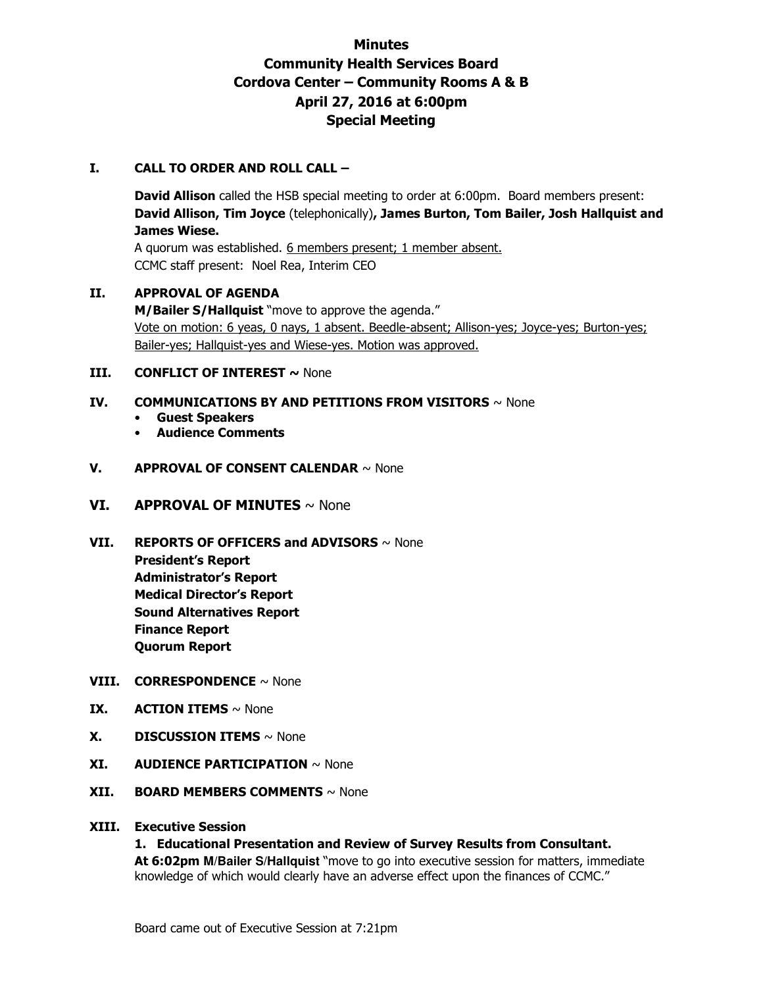# **Minutes Community Health Services Board Cordova Center – Community Rooms A & B April 27, 2016 at 6:00pm Special Meeting**

## **I. CALL TO ORDER AND ROLL CALL –**

**David Allison** called the HSB special meeting to order at 6:00pm. Board members present: **David Allison, Tim Joyce** (telephonically)**, James Burton, Tom Bailer, Josh Hallquist and James Wiese.** 

A quorum was established. 6 members present; 1 member absent. CCMC staff present: Noel Rea, Interim CEO

#### **II. APPROVAL OF AGENDA**

**M/Bailer S/Hallquist** "move to approve the agenda." Vote on motion: 6 yeas, 0 nays, 1 absent. Beedle-absent; Allison-yes; Joyce-yes; Burton-yes; Bailer-yes; Hallquist-yes and Wiese-yes. Motion was approved.

#### **III. CONFLICT OF INTEREST ~ None**

## **IV. COMMUNICATIONS BY AND PETITIONS FROM VISITORS** ~ None

- **Guest Speakers**
- **Audience Comments**

#### **V. APPROVAL OF CONSENT CALENDAR** ~ None

#### **VI. APPROVAL OF MINUTES** ~ None

**VII. REPORTS OF OFFICERS and ADVISORS** ~ None **President's Report Administrator's Report Medical Director's Report Sound Alternatives Report Finance Report Quorum Report** 

#### **VIII. CORRESPONDENCE** ~ None

- **IX. ACTION ITEMS**  $\sim$  None
- **X. DISCUSSION ITEMS** ~ None
- **XI. AUDIENCE PARTICIPATION** ~ None
- **XII. BOARD MEMBERS COMMENTS** ~ None

#### **XIII. Executive Session**

#### **1. Educational Presentation and Review of Survey Results from Consultant.**

 **At 6:02pm M/Bailer S/Hallquist** "move to go into executive session for matters, immediate knowledge of which would clearly have an adverse effect upon the finances of CCMC."